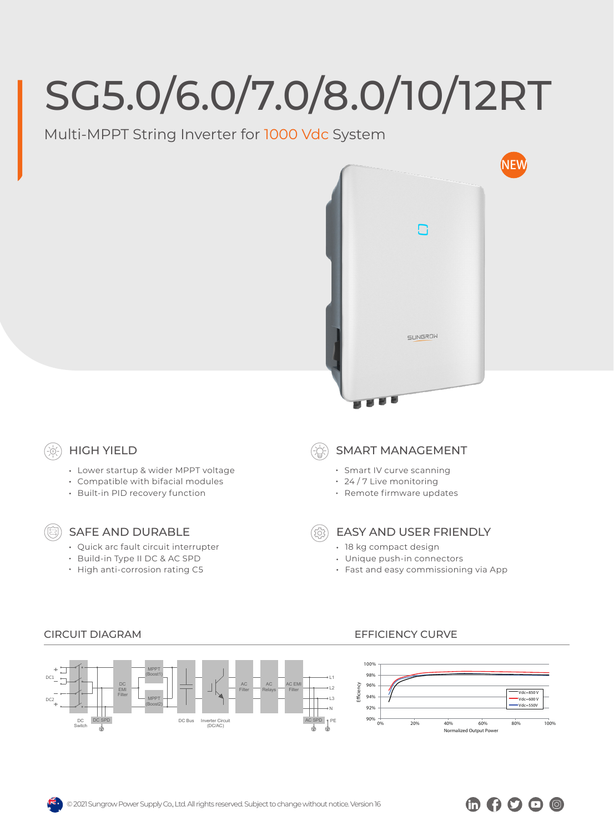# SG5.0/6.0/7.0/8.0/10/12RT

Multi-MPPT String Inverter for 1000 Vdc System



# HIGH YIELD

- Lower startup & wider MPPT voltage
- Compatible with bifacial modules
- Built-in PID recovery function

## SAFE AND DURABLE

- Quick arc fault circuit interrupter
- Build-in Type II DC & AC SPD
- High anti-corrosion rating C5

# SMART MANAGEMENT

- Smart IV curve scanning
- 24 / 7 Live monitoring
- Remote firmware updates
- 
- EASY AND USER FRIENDLY
- 18 kg compact design
- Unique push-in connectors
- Fast and easy commissioning via App



#### CIRCUIT DIAGRAM EFFICIENCY CURVE



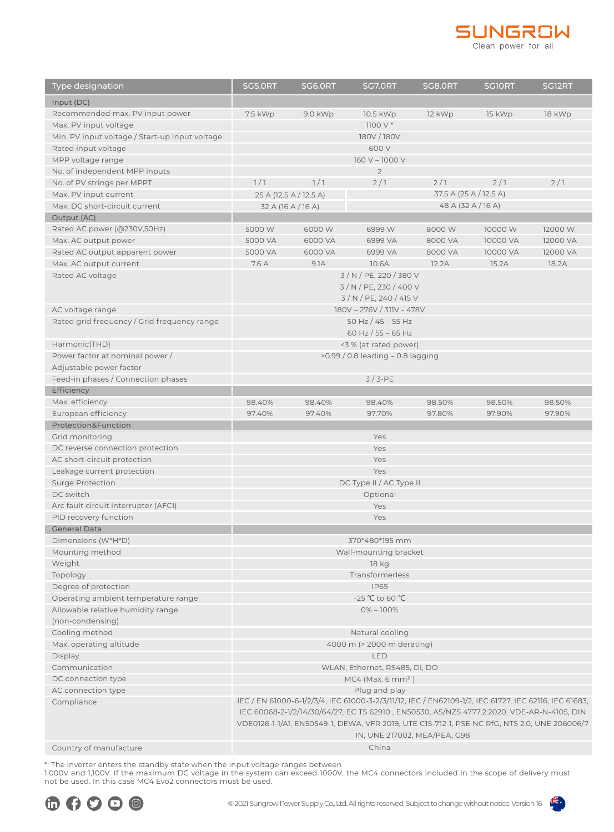

| <b>Type designation</b>                                                  | <b>SG5.0RT</b>                                                                              | <b>SG6.0RT</b>                           | SG7.0RT                                                                                              | <b>SG8.0RT</b>               | <b>SGIORT</b> | SG <sub>12</sub> RT |
|--------------------------------------------------------------------------|---------------------------------------------------------------------------------------------|------------------------------------------|------------------------------------------------------------------------------------------------------|------------------------------|---------------|---------------------|
| Input (DC)                                                               |                                                                                             |                                          |                                                                                                      |                              |               |                     |
| Recommended max. PV input power                                          | 7.5 kWp                                                                                     | 9.0 kWp                                  | 10.5 kWp                                                                                             | 12 kWp                       | 15 kWp        | 18 kWp              |
| Max. PV input voltage                                                    |                                                                                             |                                          | $1100V*$                                                                                             |                              |               |                     |
| Min. PV input voltage / Start-up input voltage                           |                                                                                             |                                          | 180V/180V                                                                                            |                              |               |                     |
| Rated input voltage                                                      | 600 V                                                                                       |                                          |                                                                                                      |                              |               |                     |
| MPP voltage range                                                        |                                                                                             |                                          | 160 V - 1000 V                                                                                       |                              |               |                     |
| No. of independent MPP inputs                                            |                                                                                             |                                          | $\overline{2}$                                                                                       |                              |               |                     |
| No. of PV strings per MPPT                                               | 1/1                                                                                         | 1/1                                      | 2/1                                                                                                  | 2/1                          | 2/1           | 2/1                 |
| Max. PV input current                                                    |                                                                                             | 25 A (12.5 A / 12.5 A)                   |                                                                                                      | 37.5 A (25 A / 12.5 A)       |               |                     |
| Max. DC short-circuit current                                            |                                                                                             | 48 A (32 A / 16 A)<br>32 A (16 A / 16 A) |                                                                                                      |                              |               |                     |
| Output (AC)                                                              |                                                                                             |                                          |                                                                                                      |                              |               |                     |
| Rated AC power (@230V,50Hz)                                              | 5000 W                                                                                      | 6000W                                    | 6999 W                                                                                               | 8000W                        | 10000 W       | 12000 W             |
| Max. AC output power                                                     | 5000 VA                                                                                     | 6000 VA                                  | 6999 VA                                                                                              | 8000 VA                      | 10000 VA      | 12000 VA            |
| Rated AC output apparent power                                           | 5000 VA                                                                                     | 6000 VA                                  | 6999 VA                                                                                              | 8000 VA                      | 10000 VA      | 12000 VA            |
| Max. AC output current                                                   | 7.6 A                                                                                       | 9.1A                                     | 10.6A                                                                                                | 12.2A                        | 15.2A         | 18.2A               |
| Rated AC voltage                                                         | 3 / N / PE, 220 / 380 V                                                                     |                                          |                                                                                                      |                              |               |                     |
|                                                                          | 3 / N / PE, 230 / 400 V                                                                     |                                          |                                                                                                      |                              |               |                     |
|                                                                          | 3 / N / PE, 240 / 415 V                                                                     |                                          |                                                                                                      |                              |               |                     |
| AC voltage range                                                         |                                                                                             |                                          | 180V - 276V / 311V - 478V                                                                            |                              |               |                     |
| Rated grid frequency / Grid frequency range                              |                                                                                             |                                          | 50 Hz $/$ 45 - 55 Hz                                                                                 |                              |               |                     |
|                                                                          | 60 Hz / 55 - 65 Hz<br><3 % (at rated power)                                                 |                                          |                                                                                                      |                              |               |                     |
| Harmonic(THD)<br>Power factor at nominal power /                         |                                                                                             |                                          |                                                                                                      |                              |               |                     |
| Adjustable power factor                                                  | $>0.99/0.8$ leading $-0.8$ lagging                                                          |                                          |                                                                                                      |                              |               |                     |
| Feed-in phases / Connection phases                                       | $3/3-PE$                                                                                    |                                          |                                                                                                      |                              |               |                     |
| Efficiency                                                               |                                                                                             |                                          |                                                                                                      |                              |               |                     |
| Max. efficiency                                                          | 98.40%                                                                                      | 98.40%                                   | 98.40%                                                                                               | 98.50%                       | 98.50%        | 98.50%              |
| European efficiency                                                      | 97.40%                                                                                      | 97.40%                                   | 97.70%                                                                                               | 97.80%                       | 97.90%        | 97.90%              |
| Protection&Function                                                      |                                                                                             |                                          |                                                                                                      |                              |               |                     |
| Grid monitoring                                                          |                                                                                             |                                          | Yes                                                                                                  |                              |               |                     |
| DC reverse connection protection                                         | Yes                                                                                         |                                          |                                                                                                      |                              |               |                     |
| AC short-circuit protection                                              | Yes                                                                                         |                                          |                                                                                                      |                              |               |                     |
| Leakage current protection                                               | Yes                                                                                         |                                          |                                                                                                      |                              |               |                     |
| <b>Surge Protection</b>                                                  | DC Type II / AC Type II                                                                     |                                          |                                                                                                      |                              |               |                     |
| DC switch                                                                | Optional                                                                                    |                                          |                                                                                                      |                              |               |                     |
| Arc fault circuit interrupter (AFCI)                                     | Yes                                                                                         |                                          |                                                                                                      |                              |               |                     |
| PID recovery function                                                    | Yes                                                                                         |                                          |                                                                                                      |                              |               |                     |
| <b>General Data</b>                                                      |                                                                                             |                                          |                                                                                                      |                              |               |                     |
| Dimensions (W*H*D)                                                       | 370*480*195 mm                                                                              |                                          |                                                                                                      |                              |               |                     |
| Mounting method                                                          | Wall-mounting bracket                                                                       |                                          |                                                                                                      |                              |               |                     |
| Weight                                                                   | 18 kg                                                                                       |                                          |                                                                                                      |                              |               |                     |
| Topology                                                                 | Transformerless                                                                             |                                          |                                                                                                      |                              |               |                     |
| Degree of protection                                                     | <b>IP65</b>                                                                                 |                                          |                                                                                                      |                              |               |                     |
| Operating ambient temperature range<br>Allowable relative humidity range | -25 °C to 60 °C                                                                             |                                          |                                                                                                      |                              |               |                     |
| (non-condensing)                                                         | $0\% - 100\%$                                                                               |                                          |                                                                                                      |                              |               |                     |
| Cooling method                                                           |                                                                                             |                                          |                                                                                                      |                              |               |                     |
| Max. operating altitude                                                  | Natural cooling<br>4000 m (> 2000 m derating)                                               |                                          |                                                                                                      |                              |               |                     |
| Display                                                                  |                                                                                             |                                          | LED                                                                                                  |                              |               |                     |
| Communication                                                            |                                                                                             |                                          |                                                                                                      |                              |               |                     |
| DC connection type                                                       | WLAN, Ethernet, RS485, DI, DO<br>$MC4$ (Max. 6 mm <sup>2</sup> )                            |                                          |                                                                                                      |                              |               |                     |
| AC connection type                                                       |                                                                                             |                                          | Plug and play                                                                                        |                              |               |                     |
| Compliance                                                               |                                                                                             |                                          | IEC / EN 61000-6-1/2/3/4, IEC 61000-3-2/3/11/12, IEC / EN62109-1/2, IEC 61727, IEC 62116, IEC 61683, |                              |               |                     |
|                                                                          |                                                                                             |                                          | IEC 60068-2-1/2/14/30/64/27,IEC TS 62910, EN50530, AS/NZS 4777.2:2020, VDE-AR-N-4105, DIN            |                              |               |                     |
|                                                                          | VDE0126-1-1/A1, EN50549-1, DEWA, VFR 2019, UTE C15-712-1, PSE NC RfG, NTS 2.0, UNE 206006/7 |                                          |                                                                                                      |                              |               |                     |
|                                                                          |                                                                                             |                                          |                                                                                                      | IN, UNE 217002, MEA/PEA, G98 |               |                     |
| Country of manufacture                                                   | China                                                                                       |                                          |                                                                                                      |                              |               |                     |

\*: The inverter enters the standby state when the input voltage ranges between

1,000V and 1,100V. If the maximum DC voltage in the system can exceed 1000V, the MC4 connectors included in the scope of delivery must not be used. In this case MC4 Evo2 connectors must be used.

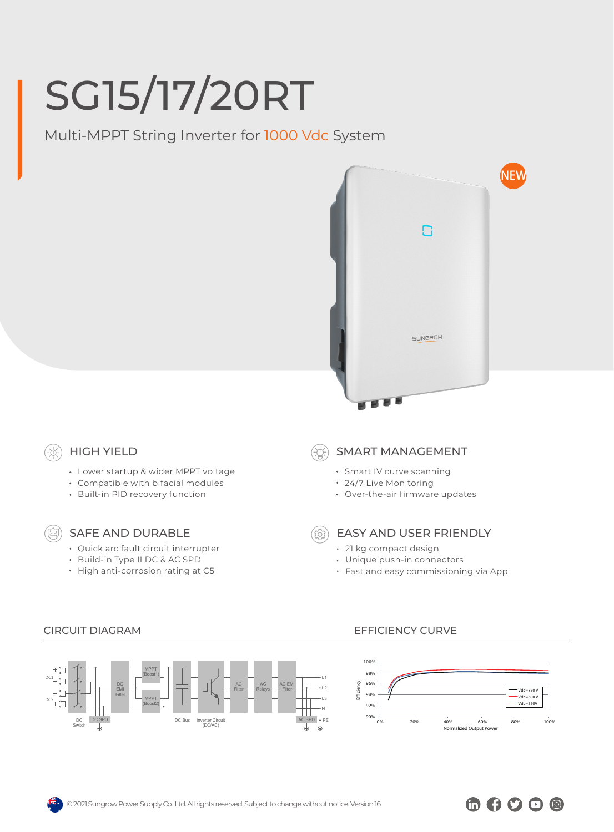# SG15/17/20RT

Multi-MPPT String Inverter for 1000 Vdc System



## HIGH YIELD

- Lower startup & wider MPPT voltage
- Compatible with bifacial modules
- Built-in PID recovery function

### SAFE AND DURABLE

- Quick arc fault circuit interrupter
- Build-in Type II DC & AC SPD
- High anti-corrosion rating at C5

### SMART MANAGEMENT

- Smart IV curve scanning
- 24/7 Live Monitoring
- Over-the-air firmware updates

- EASY AND USER FRIENDLY
- 21 kg compact design
- Unique push-in connectors
- Fast and easy commissioning via App



### CIRCUIT DIAGRAM EFFICIENCY CURVE



 $\oplus$  000